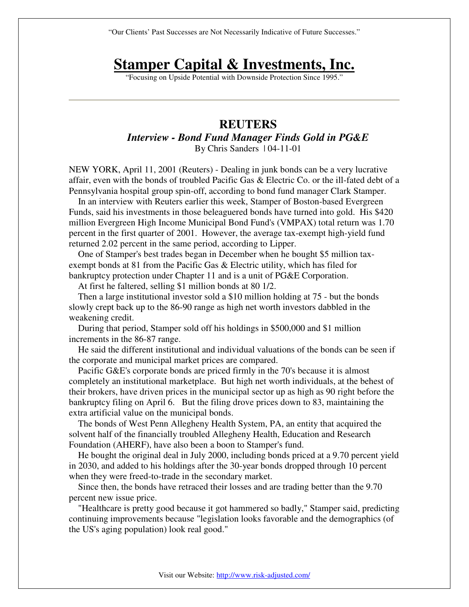"Our Clients' Past Successes are Not Necessarily Indicative of Future Successes."

## **Stamper Capital & Investments, Inc.**

"Focusing on Upside Potential with Downside Protection Since 1995."

## **REUTERS**  *Interview - Bond Fund Manager Finds Gold in PG&E*  By Chris Sanders | 04-11-01

NEW YORK, April 11, 2001 (Reuters) - Dealing in junk bonds can be a very lucrative affair, even with the bonds of troubled Pacific Gas & Electric Co. or the ill-fated debt of a Pennsylvania hospital group spin-off, according to bond fund manager Clark Stamper.

 In an interview with Reuters earlier this week, Stamper of Boston-based Evergreen Funds, said his investments in those beleaguered bonds have turned into gold. His \$420 million Evergreen High Income Municipal Bond Fund's (VMPAX) total return was 1.70 percent in the first quarter of 2001. However, the average tax-exempt high-yield fund returned 2.02 percent in the same period, according to Lipper.

 One of Stamper's best trades began in December when he bought \$5 million taxexempt bonds at 81 from the Pacific Gas & Electric utility, which has filed for bankruptcy protection under Chapter 11 and is a unit of PG&E Corporation.

At first he faltered, selling \$1 million bonds at 80 1/2.

 Then a large institutional investor sold a \$10 million holding at 75 - but the bonds slowly crept back up to the 86-90 range as high net worth investors dabbled in the weakening credit.

 During that period, Stamper sold off his holdings in \$500,000 and \$1 million increments in the 86-87 range.

 He said the different institutional and individual valuations of the bonds can be seen if the corporate and municipal market prices are compared.

 Pacific G&E's corporate bonds are priced firmly in the 70's because it is almost completely an institutional marketplace. But high net worth individuals, at the behest of their brokers, have driven prices in the municipal sector up as high as 90 right before the bankruptcy filing on April 6. But the filing drove prices down to 83, maintaining the extra artificial value on the municipal bonds.

 The bonds of West Penn Allegheny Health System, PA, an entity that acquired the solvent half of the financially troubled Allegheny Health, Education and Research Foundation (AHERF), have also been a boon to Stamper's fund.

 He bought the original deal in July 2000, including bonds priced at a 9.70 percent yield in 2030, and added to his holdings after the 30-year bonds dropped through 10 percent when they were freed-to-trade in the secondary market.

 Since then, the bonds have retraced their losses and are trading better than the 9.70 percent new issue price.

 "Healthcare is pretty good because it got hammered so badly," Stamper said, predicting continuing improvements because "legislation looks favorable and the demographics (of the US's aging population) look real good."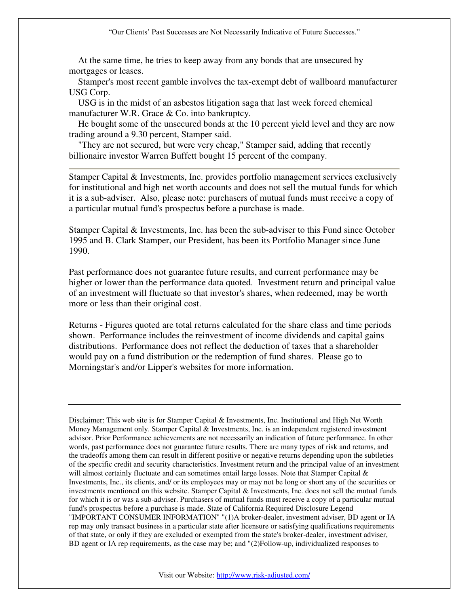At the same time, he tries to keep away from any bonds that are unsecured by mortgages or leases.

 Stamper's most recent gamble involves the tax-exempt debt of wallboard manufacturer USG Corp.

 USG is in the midst of an asbestos litigation saga that last week forced chemical manufacturer W.R. Grace & Co. into bankruptcy.

 He bought some of the unsecured bonds at the 10 percent yield level and they are now trading around a 9.30 percent, Stamper said.

 "They are not secured, but were very cheap," Stamper said, adding that recently billionaire investor Warren Buffett bought 15 percent of the company.

Stamper Capital & Investments, Inc. provides portfolio management services exclusively for institutional and high net worth accounts and does not sell the mutual funds for which it is a sub-adviser. Also, please note: purchasers of mutual funds must receive a copy of a particular mutual fund's prospectus before a purchase is made.

Stamper Capital & Investments, Inc. has been the sub-adviser to this Fund since October 1995 and B. Clark Stamper, our President, has been its Portfolio Manager since June 1990.

Past performance does not guarantee future results, and current performance may be higher or lower than the performance data quoted. Investment return and principal value of an investment will fluctuate so that investor's shares, when redeemed, may be worth more or less than their original cost.

Returns - Figures quoted are total returns calculated for the share class and time periods shown. Performance includes the reinvestment of income dividends and capital gains distributions. Performance does not reflect the deduction of taxes that a shareholder would pay on a fund distribution or the redemption of fund shares. Please go to Morningstar's and/or Lipper's websites for more information.

Disclaimer: This web site is for Stamper Capital & Investments, Inc. Institutional and High Net Worth Money Management only. Stamper Capital & Investments, Inc. is an independent registered investment advisor. Prior Performance achievements are not necessarily an indication of future performance. In other words, past performance does not guarantee future results. There are many types of risk and returns, and the tradeoffs among them can result in different positive or negative returns depending upon the subtleties of the specific credit and security characteristics. Investment return and the principal value of an investment will almost certainly fluctuate and can sometimes entail large losses. Note that Stamper Capital  $\&$ Investments, Inc., its clients, and/ or its employees may or may not be long or short any of the securities or investments mentioned on this website. Stamper Capital & Investments, Inc. does not sell the mutual funds for which it is or was a sub-adviser. Purchasers of mutual funds must receive a copy of a particular mutual fund's prospectus before a purchase is made. State of California Required Disclosure Legend "IMPORTANT CONSUMER INFORMATION" "(1)A broker-dealer, investment adviser, BD agent or IA rep may only transact business in a particular state after licensure or satisfying qualifications requirements of that state, or only if they are excluded or exempted from the state's broker-dealer, investment adviser, BD agent or IA rep requirements, as the case may be; and "(2)Follow-up, individualized responses to